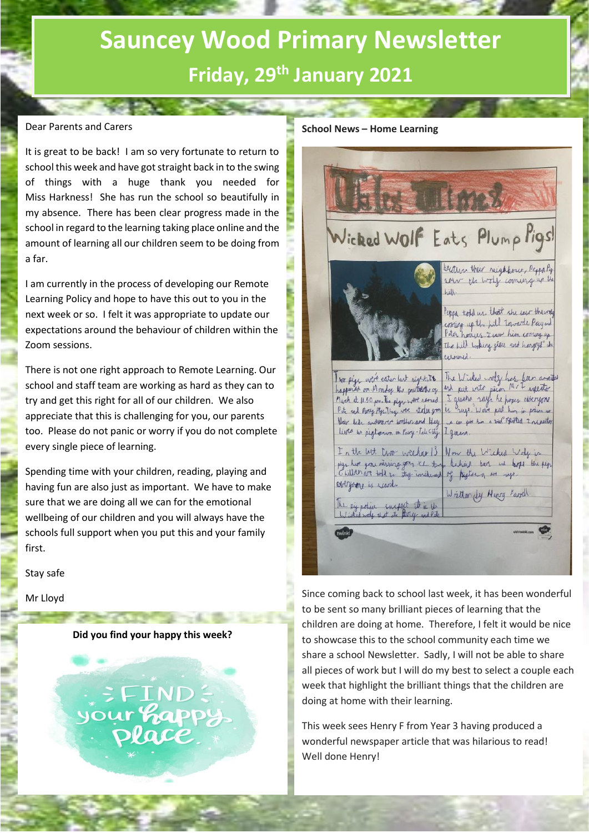# **Sauncey Wood Primary Newsletter Friday, 29th January 2021**

# Dear Parents and Carers

It is great to be back! I am so very fortunate to return to school this week and have got straight back in to the swing of things with a huge thank you needed for Miss Harkness! She has run the school so beautifully in my absence. There has been clear progress made in the school in regard to the learning taking place online and the amount of learning all our children seem to be doing from a far.

I am currently in the process of developing our Remote Learning Policy and hope to have this out to you in the next week or so. I felt it was appropriate to update our expectations around the behaviour of children within the Zoom sessions.

There is not one right approach to Remote Learning. Our school and staff team are working as hard as they can to try and get this right for all of our children. We also appreciate that this is challenging for you, our parents too. Please do not panic or worry if you do not complete every single piece of learning.

Spending time with your children, reading, playing and having fun are also just as important. We have to make sure that we are doing all we can for the emotional wellbeing of our children and you will always have the schools full support when you put this and your family first.

Stay safe

Mr Lloyd

## **Did you find your happy this week?**

**SFIND:** your happy

#### **School News – Home Learning**



Since coming back to school last week, it has been wonderful to be sent so many brilliant pieces of learning that the children are doing at home. Therefore, I felt it would be nice to showcase this to the school community each time we share a school Newsletter. Sadly, I will not be able to share all pieces of work but I will do my best to select a couple each week that highlight the brilliant things that the children are doing at home with their learning.

This week sees Henry F from Year 3 having produced a wonderful newspaper article that was hilarious to read! Well done Henry!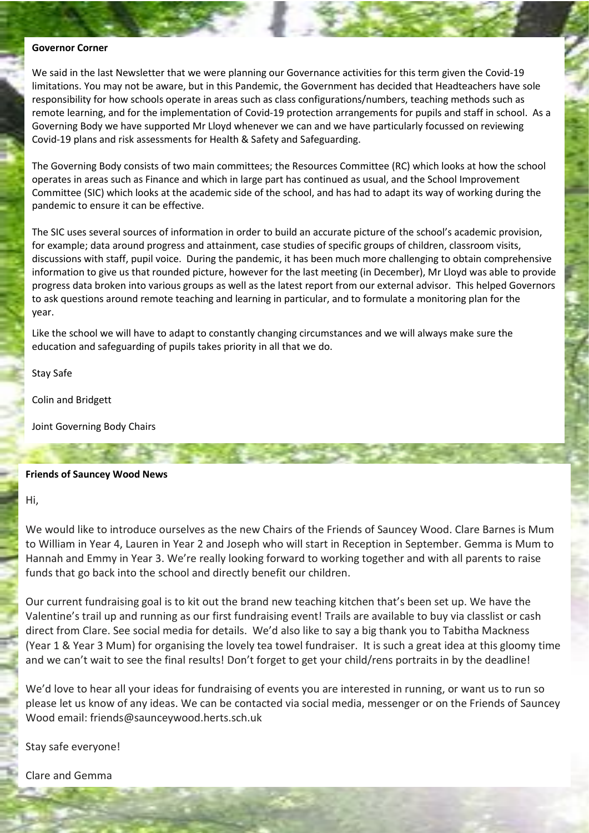#### **Governor Corner**

We said in the last Newsletter that we were planning our Governance activities for this term given the Covid-19 limitations. You may not be aware, but in this Pandemic, the Government has decided that Headteachers have sole responsibility for how schools operate in areas such as class configurations/numbers, teaching methods such as remote learning, and for the implementation of Covid-19 protection arrangements for pupils and staff in school. As a Governing Body we have supported Mr Lloyd whenever we can and we have particularly focussed on reviewing Covid-19 plans and risk assessments for Health & Safety and Safeguarding.

The Governing Body consists of two main committees; the Resources Committee (RC) which looks at how the school operates in areas such as Finance and which in large part has continued as usual, and the School Improvement Committee (SIC) which looks at the academic side of the school, and has had to adapt its way of working during the pandemic to ensure it can be effective.

The SIC uses several sources of information in order to build an accurate picture of the school's academic provision, for example; data around progress and attainment, case studies of specific groups of children, classroom visits, discussions with staff, pupil voice. During the pandemic, it has been much more challenging to obtain comprehensive information to give us that rounded picture, however for the last meeting (in December), Mr Lloyd was able to provide progress data broken into various groups as well as the latest report from our external advisor. This helped Governors to ask questions around remote teaching and learning in particular, and to formulate a monitoring plan for the year.

Like the school we will have to adapt to constantly changing circumstances and we will always make sure the education and safeguarding of pupils takes priority in all that we do.

Stay Safe

Colin and Bridgett

Joint Governing Body Chairs

## **Friends of Sauncey Wood News**

Hi,

We would like to introduce ourselves as the new Chairs of the Friends of Sauncey Wood. Clare Barnes is Mum to William in Year 4, Lauren in Year 2 and Joseph who will start in Reception in September. Gemma is Mum to Hannah and Emmy in Year 3. We're really looking forward to working together and with all parents to raise funds that go back into the school and directly benefit our children.

Our current fundraising goal is to kit out the brand new teaching kitchen that's been set up. We have the Valentine's trail up and running as our first fundraising event! Trails are available to buy via classlist or cash direct from Clare. See social media for details. We'd also like to say a big thank you to Tabitha Mackness (Year 1 & Year 3 Mum) for organising the lovely tea towel fundraiser. It is such a great idea at this gloomy time and we can't wait to see the final results! Don't forget to get your child/rens portraits in by the deadline!

We'd love to hear all your ideas for fundraising of events you are interested in running, or want us to run so please let us know of any ideas. We can be contacted via social media, messenger or on the Friends of Sauncey Wood email: friends@saunceywood.herts.sch.uk

Stay safe everyone!

Clare and Gemma